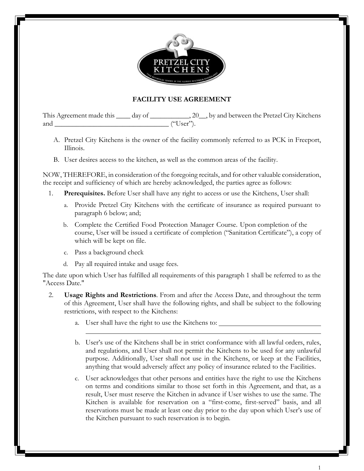

## **FACILITY USE AGREEMENT**

This Agreement made this \_\_\_\_ day of \_\_\_\_\_\_\_\_\_\_\_, 20\_\_, by and between the Pretzel City Kitchens and \_\_\_\_\_\_\_\_\_\_\_\_\_\_\_\_\_\_\_\_\_\_\_\_\_\_\_\_\_\_\_\_ ("User").

- A. Pretzel City Kitchens is the owner of the facility commonly referred to as PCK in Freeport, Illinois.
- B. User desires access to the kitchen, as well as the common areas of the facility.

NOW, THEREFORE, in consideration of the foregoing recitals, and for other valuable consideration, the receipt and sufficiency of which are hereby acknowledged, the parties agree as follows:

- 1. **Prerequisites.** Before User shall have any right to access or use the Kitchens, User shall:
	- a. Provide Pretzel City Kitchens with the certificate of insurance as required pursuant to paragraph 6 below; and;
	- b. Complete the Certified Food Protection Manager Course. Upon completion of the course, User will be issued a certificate of completion ("Sanitation Certificate"), a copy of which will be kept on file.
	- c. Pass a background check
	- d. Pay all required intake and usage fees.

The date upon which User has fulfilled all requirements of this paragraph 1 shall be referred to as the "Access Date."

- 2. **Usage Rights and Restrictions**. From and after the Access Date, and throughout the term of this Agreement, User shall have the following rights, and shall be subject to the following restrictions, with respect to the Kitchens:
	- a. User shall have the right to use the Kitchens to:
	- b. User's use of the Kitchens shall be in strict conformance with all lawful orders, rules, and regulations, and User shall not permit the Kitchens to be used for any unlawful purpose. Additionally, User shall not use in the Kitchens, or keep at the Facilities, anything that would adversely affect any policy of insurance related to the Facilities.
	- c. User acknowledges that other persons and entities have the right to use the Kitchens on terms and conditions similar to those set forth in this Agreement, and that, as a result, User must reserve the Kitchen in advance if User wishes to use the same. The Kitchen is available for reservation on a "first-come, first-served" basis, and all reservations must be made at least one day prior to the day upon which User's use of the Kitchen pursuant to such reservation is to begin.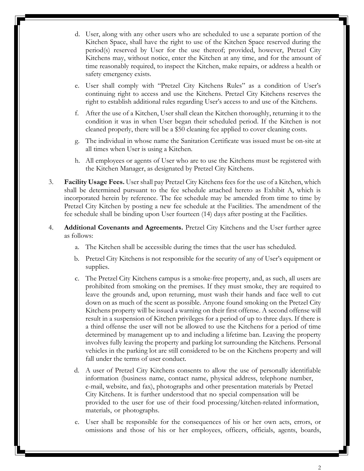- d. User, along with any other users who are scheduled to use a separate portion of the Kitchen Space, shall have the right to use of the Kitchen Space reserved during the period(s) reserved by User for the use thereof; provided, however, Pretzel City Kitchens may, without notice, enter the Kitchen at any time, and for the amount of time reasonably required, to inspect the Kitchen, make repairs, or address a health or safety emergency exists.
- e. User shall comply with "Pretzel City Kitchens Rules" as a condition of User's continuing right to access and use the Kitchens. Pretzel City Kitchens reserves the right to establish additional rules regarding User's access to and use of the Kitchens.
- f. After the use of a Kitchen, User shall clean the Kitchen thoroughly, returning it to the condition it was in when User began their scheduled period. If the Kitchen is not cleaned properly, there will be a \$50 cleaning fee applied to cover cleaning costs.
- g. The individual in whose name the Sanitation Certificate was issued must be on-site at all times when User is using a Kitchen.
- h. All employees or agents of User who are to use the Kitchens must be registered with the Kitchen Manager, as designated by Pretzel City Kitchens.
- 3. **Facility Usage Fees.** User shall pay Pretzel City Kitchens fees for the use of a Kitchen, which shall be determined pursuant to the fee schedule attached hereto as Exhibit A, which is incorporated herein by reference. The fee schedule may be amended from time to time by Pretzel City Kitchen by posting a new fee schedule at the Facilities. The amendment of the fee schedule shall be binding upon User fourteen (14) days after posting at the Facilities.
- 4. **Additional Covenants and Agreements.** Pretzel City Kitchens and the User further agree as follows:
	- a. The Kitchen shall be accessible during the times that the user has scheduled.
	- b. Pretzel City Kitchens is not responsible for the security of any of User's equipment or supplies.
	- c. The Pretzel City Kitchens campus is a smoke-free property, and, as such, all users are prohibited from smoking on the premises. If they must smoke, they are required to leave the grounds and, upon returning, must wash their hands and face well to cut down on as much of the scent as possible. Anyone found smoking on the Pretzel City Kitchens property will be issued a warning on their first offense. A second offense will result in a suspension of Kitchen privileges for a period of up to three days. If there is a third offense the user will not be allowed to use the Kitchens for a period of time determined by management up to and including a lifetime ban. Leaving the property involves fully leaving the property and parking lot surrounding the Kitchens. Personal vehicles in the parking lot are still considered to be on the Kitchens property and will fall under the terms of user conduct.
	- d. A user of Pretzel City Kitchens consents to allow the use of personally identifiable information (business name, contact name, physical address, telephone number, e-mail, website, and fax), photographs and other presentation materials by Pretzel City Kitchens. It is further understood that no special compensation will be provided to the user for use of their food processing/kitchen-related information, materials, or photographs.
	- e. User shall be responsible for the consequences of his or her own acts, errors, or omissions and those of his or her employees, officers, officials, agents, boards,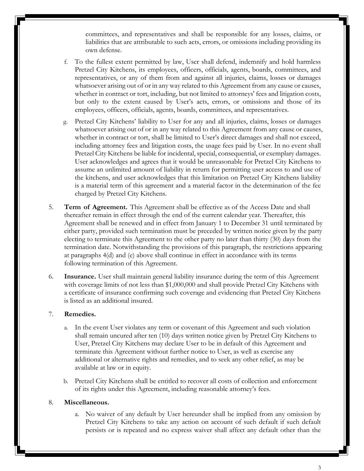committees, and representatives and shall be responsible for any losses, claims, or liabilities that are attributable to such acts, errors, or omissions including providing its own defense.

- f. To the fullest extent permitted by law, User shall defend, indemnify and hold harmless Pretzel City Kitchens, its employees, officers, officials, agents, boards, committees, and representatives, or any of them from and against all injuries, claims, losses or damages whatsoever arising out of or in any way related to this Agreement from any cause or causes, whether in contract or tort, including, but not limited to attorneys' fees and litigation costs, but only to the extent caused by User's acts, errors, or omissions and those of its employees, officers, officials, agents, boards, committees, and representatives.
- g. Pretzel City Kitchens' liability to User for any and all injuries, claims, losses or damages whatsoever arising out of or in any way related to this Agreement from any cause or causes, whether in contract or tort, shall be limited to User's direct damages and shall not exceed, including attorney fees and litigation costs, the usage fees paid by User. In no event shall Pretzel City Kitchens be liable for incidental, special, consequential, or exemplary damages. User acknowledges and agrees that it would be unreasonable for Pretzel City Kitchens to assume an unlimited amount of liability in return for permitting user access to and use of the kitchens, and user acknowledges that this limitation on Pretzel City Kitchens liability is a material term of this agreement and a material factor in the determination of the fee charged by Pretzel City Kitchens.
- 5. **Term of Agreement.** This Agreement shall be effective as of the Access Date and shall thereafter remain in effect through the end of the current calendar year. Thereafter, this Agreement shall be renewed and in effect from January 1 to December 31 until terminated by either party, provided such termination must be preceded by written notice given by the party electing to terminate this Agreement to the other party no later than thirty (30) days from the termination date. Notwithstanding the provisions of this paragraph, the restrictions appearing at paragraphs 4(d) and (e) above shall continue in effect in accordance with its terms following termination of this Agreement.
- 6. **Insurance.** User shall maintain general liability insurance during the term of this Agreement with coverage limits of not less than \$1,000,000 and shall provide Pretzel City Kitchens with a certificate of insurance confirming such coverage and evidencing that Pretzel City Kitchens is listed as an additional insured.

## 7. **Remedies.**

- a. In the event User violates any term or covenant of this Agreement and such violation shall remain uncured after ten (10) days written notice given by Pretzel City Kitchens to User, Pretzel City Kitchens may declare User to be in default of this Agreement and terminate this Agreement without further notice to User, as well as exercise any additional or alternative rights and remedies, and to seek any other relief, as may be available at law or in equity.
- b. Pretzel City Kitchens shall be entitled to recover all costs of collection and enforcement of its rights under this Agreement, including reasonable attorney's fees.

## 8. **Miscellaneous.**

a. No waiver of any default by User hereunder shall be implied from any omission by Pretzel City Kitchens to take any action on account of such default if such default persists or is repeated and no express waiver shall affect any default other than the